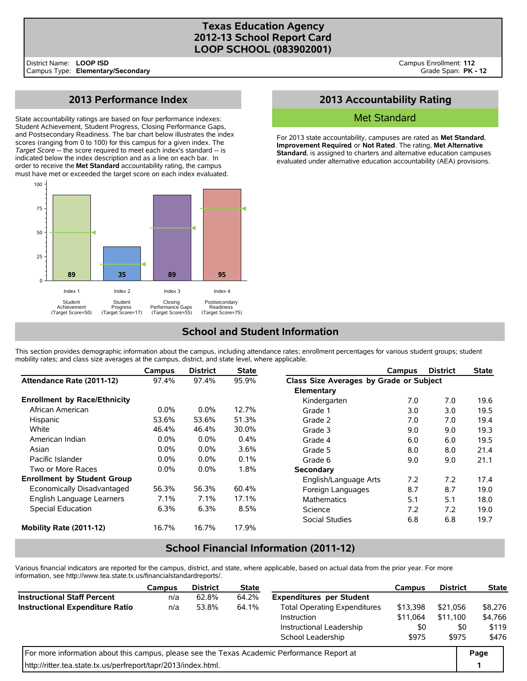# **Texas Education Agency 2012-13 School Report Card LOOP SCHOOL (083902001)**

# **2013 Performance Index**

State accountability ratings are based on four performance indexes: Student Achievement, Student Progress, Closing Performance Gaps, and Postsecondary Readiness. The bar chart below illustrates the index scores (ranging from 0 to 100) for this campus for a given index. The *Target Score* -- the score required to meet each index's standard -- is indicated below the index description and as a line on each bar. In order to receive the **Met Standard** accountability rating, the campus must have met or exceeded the target score on each index evaluated.



# **2013 Accountability Rating**

### Met Standard

For 2013 state accountability, campuses are rated as **Met Standard**, **Improvement Required**, or **Not Rated**. The rating, **Met Alternative Standard**, is assigned to charters and alternative education campuses evaluated under alternative education accountability (AEA) provisions.

# **School and Student Information**

This section provides demographic information about the campus, including attendance rates; enrollment percentages for various student groups; student mobility rates; and class size averages at the campus, district, and state level, where applicable.

|                                     | Campus  | <b>District</b> | <b>State</b> |                                         | Campus | <b>District</b> | <b>State</b> |
|-------------------------------------|---------|-----------------|--------------|-----------------------------------------|--------|-----------------|--------------|
| Attendance Rate (2011-12)           | 97.4%   | 97.4%           | 95.9%        | Class Size Averages by Grade or Subject |        |                 |              |
|                                     |         |                 |              | Elementary                              |        |                 |              |
| <b>Enrollment by Race/Ethnicity</b> |         |                 |              | Kindergarten                            | 7.0    | 7.0             | 19.6         |
| African American                    | $0.0\%$ | $0.0\%$         | 12.7%        | Grade 1                                 | 3.0    | 3.0             | 19.5         |
| Hispanic                            | 53.6%   | 53.6%           | 51.3%        | Grade 2                                 | 7.0    | 7.0             | 19.4         |
| White                               | 46.4%   | 46.4%           | 30.0%        | Grade 3                                 | 9.0    | 9.0             | 19.3         |
| American Indian                     | $0.0\%$ | $0.0\%$         | 0.4%         | Grade 4                                 | 6.0    | 6.0             | 19.5         |
| Asian                               | $0.0\%$ | $0.0\%$         | 3.6%         | Grade 5                                 | 8.0    | 8.0             | 21.4         |
| Pacific Islander                    | $0.0\%$ | $0.0\%$         | $0.1\%$      | Grade 6                                 | 9.0    | 9.0             | 21.1         |
| Two or More Races                   | $0.0\%$ | $0.0\%$         | 1.8%         | Secondary                               |        |                 |              |
| <b>Enrollment by Student Group</b>  |         |                 |              | English/Language Arts                   | 7.2    | 7.2             | 17.4         |
| Economically Disadvantaged          | 56.3%   | 56.3%           | 60.4%        | Foreign Languages                       | 8.7    | 8.7             | 19.0         |
| English Language Learners           | 7.1%    | $7.1\%$         | 17.1%        | <b>Mathematics</b>                      | 5.1    | 5.1             | 18.0         |
| <b>Special Education</b>            | 6.3%    | 6.3%            | 8.5%         | Science                                 | 7.2    | 7.2             | 19.0         |
|                                     |         |                 |              | Social Studies                          | 6.8    | 6.8             | 19.7         |
| Mobility Rate (2011-12)             | 16.7%   | 16.7%           | 17.9%        |                                         |        |                 |              |

# **School Financial Information (2011-12)**

Various financial indicators are reported for the campus, district, and state, where applicable, based on actual data from the prior year. For more information, see http://www.tea.state.tx.us/financialstandardreports/.

|                                                                                             | <b>Campus</b> | <b>District</b>   | <b>State</b> |                                     | Campus   | <b>District</b> | <b>State</b> |
|---------------------------------------------------------------------------------------------|---------------|-------------------|--------------|-------------------------------------|----------|-----------------|--------------|
| <b>Instructional Staff Percent</b>                                                          | n/a           | 62.8%             | 64.2%        | <b>Expenditures per Student</b>     |          |                 |              |
| <b>Instructional Expenditure Ratio</b>                                                      | n/a           | 53.8%             | 64.1%        | <b>Total Operating Expenditures</b> | \$13,398 | \$21.056        | \$8,276      |
|                                                                                             |               |                   |              | Instruction                         | \$11.064 | \$11.100        | \$4,766      |
|                                                                                             |               |                   |              | Instructional Leadership            | \$0      | \$0             | \$119        |
|                                                                                             |               | School Leadership | \$975        | \$975                               | \$476    |                 |              |
| For more information about this campus, please see the Texas Academic Performance Report at |               |                   |              |                                     |          |                 |              |
| http://ritter.tea.state.tx.us/perfreport/tapr/2013/index.html.                              |               |                   |              |                                     |          |                 |              |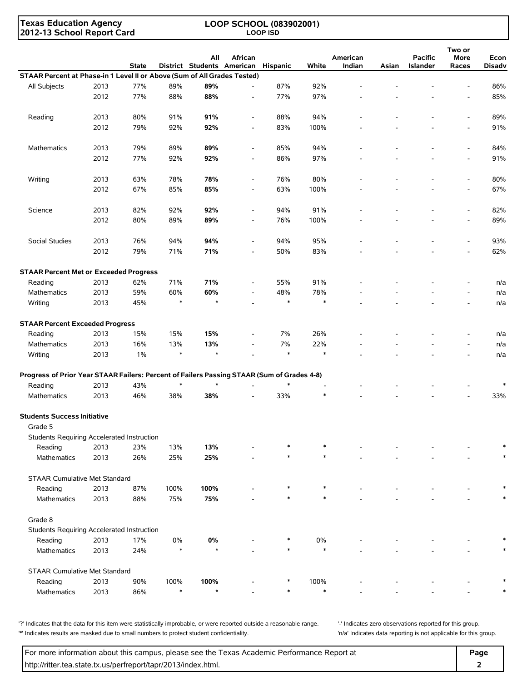**Texas Education Agency 2012-13 School Report Card**

### **LOOP SCHOOL (083902001) LOOP ISD**

|                                                                                            |      | <b>State</b> |        | All     | African<br>District Students American | Hispanic | White  | American<br>Indian | Asian | <b>Pacific</b><br>Islander | Two or<br>More<br>Races  | Econ<br><b>Disadv</b> |
|--------------------------------------------------------------------------------------------|------|--------------|--------|---------|---------------------------------------|----------|--------|--------------------|-------|----------------------------|--------------------------|-----------------------|
| STAAR Percent at Phase-in 1 Level II or Above (Sum of All Grades Tested)                   |      |              |        |         |                                       |          |        |                    |       |                            |                          |                       |
| All Subjects                                                                               | 2013 | 77%          | 89%    | 89%     | $\overline{\phantom{a}}$              | 87%      | 92%    |                    |       |                            |                          | 86%                   |
|                                                                                            | 2012 | 77%          | 88%    | 88%     |                                       | 77%      | 97%    |                    |       |                            |                          | 85%                   |
|                                                                                            |      |              |        |         |                                       |          |        |                    |       |                            |                          |                       |
| Reading                                                                                    | 2013 | 80%          | 91%    | 91%     | $\overline{\phantom{a}}$              | 88%      | 94%    |                    |       |                            |                          | 89%                   |
|                                                                                            | 2012 | 79%          | 92%    | 92%     |                                       | 83%      | 100%   |                    |       |                            | $\overline{a}$           | 91%                   |
|                                                                                            |      |              |        |         |                                       |          |        |                    |       |                            |                          |                       |
| <b>Mathematics</b>                                                                         | 2013 | 79%          | 89%    | 89%     | $\overline{\phantom{a}}$              | 85%      | 94%    |                    |       |                            |                          | 84%                   |
|                                                                                            | 2012 | 77%          | 92%    | 92%     |                                       | 86%      | 97%    |                    |       |                            | $\overline{a}$           | 91%                   |
|                                                                                            |      |              |        |         |                                       |          |        |                    |       |                            |                          |                       |
| Writing                                                                                    | 2013 | 63%          | 78%    | 78%     | $\overline{\phantom{a}}$              | 76%      | 80%    |                    |       |                            | $\overline{\phantom{a}}$ | 80%                   |
|                                                                                            | 2012 | 67%          | 85%    | 85%     |                                       | 63%      | 100%   |                    |       |                            | $\overline{a}$           | 67%                   |
|                                                                                            |      |              |        |         |                                       |          |        |                    |       |                            |                          |                       |
| Science                                                                                    | 2013 | 82%          | 92%    | 92%     | $\overline{\phantom{a}}$              | 94%      | 91%    |                    |       |                            | $\overline{\phantom{a}}$ | 82%                   |
|                                                                                            | 2012 | 80%          | 89%    | 89%     |                                       | 76%      | 100%   |                    |       |                            |                          | 89%                   |
|                                                                                            |      |              |        |         |                                       |          |        |                    |       |                            |                          |                       |
| Social Studies                                                                             | 2013 | 76%          | 94%    | 94%     | $\overline{\phantom{a}}$              | 94%      | 95%    |                    |       |                            | $\overline{\phantom{a}}$ | 93%                   |
|                                                                                            | 2012 | 79%          | 71%    | 71%     |                                       | 50%      | 83%    |                    |       |                            |                          | 62%                   |
|                                                                                            |      |              |        |         |                                       |          |        |                    |       |                            |                          |                       |
| <b>STAAR Percent Met or Exceeded Progress</b>                                              |      |              |        |         |                                       |          |        |                    |       |                            |                          |                       |
| Reading                                                                                    | 2013 | 62%          | 71%    | 71%     |                                       | 55%      | 91%    |                    |       |                            |                          | n/a                   |
| Mathematics                                                                                | 2013 | 59%          | 60%    | 60%     |                                       | 48%      | 78%    |                    |       |                            |                          | n/a                   |
| Writing                                                                                    | 2013 | 45%          | $\ast$ | $\star$ |                                       | $\ast$   | $\ast$ |                    |       |                            |                          | n/a                   |
|                                                                                            |      |              |        |         |                                       |          |        |                    |       |                            |                          |                       |
| <b>STAAR Percent Exceeded Progress</b>                                                     |      |              |        |         |                                       |          |        |                    |       |                            |                          |                       |
| Reading                                                                                    | 2013 | 15%          | 15%    | 15%     |                                       | 7%       | 26%    |                    |       |                            |                          | n/a                   |
| Mathematics                                                                                | 2013 | 16%          | 13%    | 13%     |                                       | 7%       | 22%    |                    |       |                            |                          | n/a                   |
| Writing                                                                                    | 2013 | 1%           | $\ast$ | $\star$ |                                       | $\ast$   | $\ast$ |                    |       |                            |                          | n/a                   |
| Progress of Prior Year STAAR Failers: Percent of Failers Passing STAAR (Sum of Grades 4-8) |      |              |        |         |                                       |          |        |                    |       |                            |                          |                       |
| Reading                                                                                    | 2013 | 43%          |        | $\star$ |                                       | $\ast$   |        |                    |       |                            |                          | $\ast$                |
| Mathematics                                                                                | 2013 | 46%          | 38%    | 38%     |                                       | 33%      | $\ast$ |                    |       |                            |                          | 33%                   |
|                                                                                            |      |              |        |         |                                       |          |        |                    |       |                            |                          |                       |
| <b>Students Success Initiative</b>                                                         |      |              |        |         |                                       |          |        |                    |       |                            |                          |                       |
| Grade 5                                                                                    |      |              |        |         |                                       |          |        |                    |       |                            |                          |                       |
| Students Requiring Accelerated Instruction                                                 |      |              |        |         |                                       |          |        |                    |       |                            |                          |                       |
| Reading                                                                                    | 2013 | 23%          | 13%    | 13%     |                                       |          |        |                    |       |                            |                          | $\ast$                |
| Mathematics                                                                                | 2013 | 26%          | 25%    | 25%     |                                       |          |        |                    |       |                            |                          |                       |
| STAAR Cumulative Met Standard                                                              |      |              |        |         |                                       |          |        |                    |       |                            |                          |                       |
| Reading                                                                                    | 2013 | 87%          | 100%   | 100%    |                                       |          |        |                    |       |                            |                          |                       |
| Mathematics                                                                                | 2013 | 88%          | 75%    | 75%     |                                       |          |        |                    |       |                            |                          |                       |
| Grade 8                                                                                    |      |              |        |         |                                       |          |        |                    |       |                            |                          |                       |
| Students Requiring Accelerated Instruction                                                 |      |              |        |         |                                       |          |        |                    |       |                            |                          |                       |
| Reading                                                                                    | 2013 | 17%          | 0%     | 0%      |                                       |          | 0%     |                    |       |                            |                          |                       |
| Mathematics                                                                                | 2013 | 24%          | $\ast$ | $\star$ |                                       |          | $\ast$ |                    |       |                            |                          |                       |
|                                                                                            |      |              |        |         |                                       |          |        |                    |       |                            |                          |                       |
| <b>STAAR Cumulative Met Standard</b>                                                       |      |              |        |         |                                       |          |        |                    |       |                            |                          |                       |
| Reading                                                                                    | 2013 | 90%          | 100%   | 100%    |                                       |          | 100%   |                    |       |                            |                          |                       |
| Mathematics                                                                                | 2013 | 86%          | $\ast$ | $\star$ |                                       |          | $\ast$ |                    |       |                            |                          |                       |
|                                                                                            |      |              |        |         |                                       |          |        |                    |       |                            |                          |                       |

'?' Indicates that the data for this item were statistically improbable, or were reported outside a reasonable range. '' Indicates zero observations reported for this group. '\*' Indicates results are masked due to small numbers to protect student confidentiality. 'n/a' Indicates data reporting is not applicable for this group.